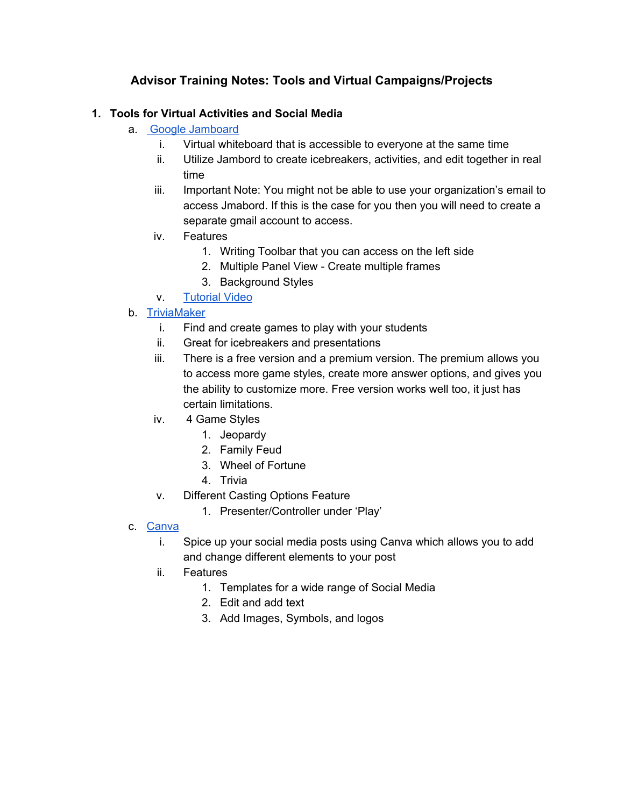# **Advisor Training Notes: Tools and Virtual Campaigns/Projects**

### **1. Tools for Virtual Activities and Social Media**

- a. Google [Jamboard](https://edu.google.com/products/jamboard/?modal_active=none)
	- i. Virtual whiteboard that is accessible to everyone at the same time
	- ii. Utilize Jambord to create icebreakers, activities, and edit together in real time
	- iii. Important Note: You might not be able to use your organization's email to access Jmabord. If this is the case for you then you will need to create a separate gmail account to access.
	- iv. Features
		- 1. Writing Toolbar that you can access on the left side
		- 2. Multiple Panel View Create multiple frames
		- 3. Background Styles
	- v. [Tutorial](https://www.youtube.com/watch?v=K1qS6avlnaE) Video

#### b. [TriviaMaker](https://triviamaker.com/)

- i. Find and create games to play with your students
- ii. Great for icebreakers and presentations
- iii. There is a free version and a premium version. The premium allows you to access more game styles, create more answer options, and gives you the ability to customize more. Free version works well too, it just has certain limitations.
- iv. 4 Game Styles
	- 1. Jeopardy
	- 2. Family Feud
	- 3. Wheel of Fortune
	- 4. Trivia
- v. Different Casting Options Feature
	- 1. Presenter/Controller under 'Play'
- c. [Canva](https://www.canva.com/)
	- i. Spice up your social media posts using Canva which allows you to add and change different elements to your post
	- ii. Features
		- 1. Templates for a wide range of Social Media
		- 2. Edit and add text
		- 3. Add Images, Symbols, and logos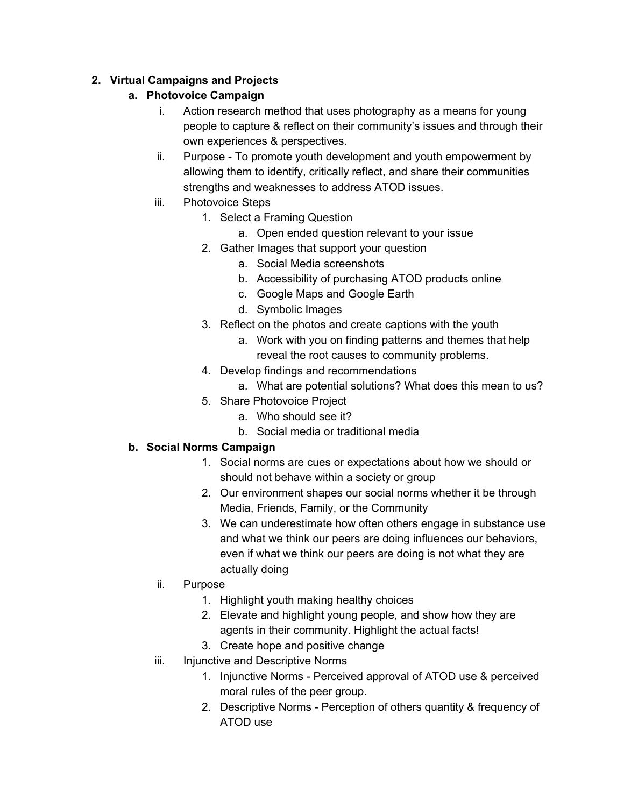## **2. Virtual Campaigns and Projects**

## **a. Photovoice Campaign**

- i. Action research method that uses photography as a means for young people to capture & reflect on their community's issues and through their own experiences & perspectives.
- ii. Purpose To promote youth development and youth empowerment by allowing them to identify, critically reflect, and share their communities strengths and weaknesses to address ATOD issues.
- iii. Photovoice Steps
	- 1. Select a Framing Question
		- a. Open ended question relevant to your issue
	- 2. Gather Images that support your question
		- a. Social Media screenshots
		- b. Accessibility of purchasing ATOD products online
		- c. Google Maps and Google Earth
		- d. Symbolic Images
	- 3. Reflect on the photos and create captions with the youth
		- a. Work with you on finding patterns and themes that help reveal the root causes to community problems.
	- 4. Develop findings and recommendations
		- a. What are potential solutions? What does this mean to us?
	- 5. Share Photovoice Project
		- a. Who should see it?
		- b. Social media or traditional media

#### **b. Social Norms Campaign**

- 1. Social norms are cues or expectations about how we should or should not behave within a society or group
- 2. Our environment shapes our social norms whether it be through Media, Friends, Family, or the Community
- 3. We can underestimate how often others engage in substance use and what we think our peers are doing influences our behaviors, even if what we think our peers are doing is not what they are actually doing
- ii. Purpose
	- 1. Highlight youth making healthy choices
	- 2. Elevate and highlight young people, and show how they are agents in their community. Highlight the actual facts!
	- 3. Create hope and positive change
- iii. Injunctive and Descriptive Norms
	- 1. Injunctive Norms Perceived approval of ATOD use & perceived moral rules of the peer group.
	- 2. Descriptive Norms Perception of others quantity & frequency of ATOD use